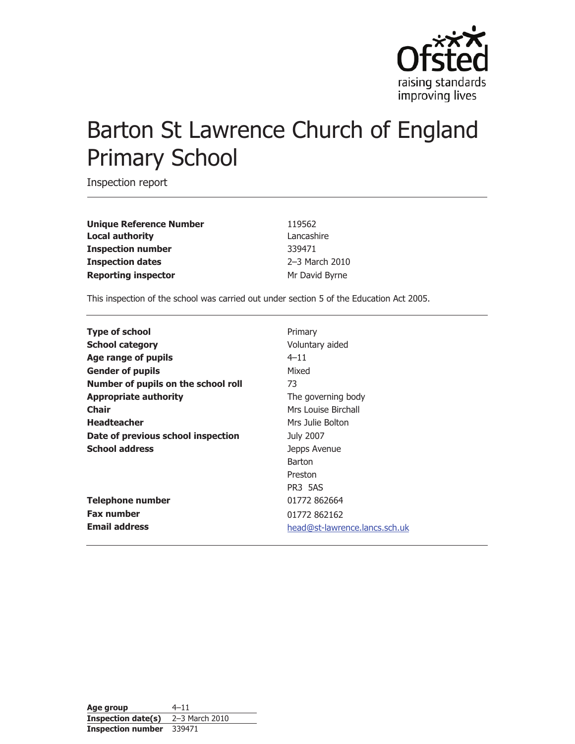

# Barton St Lawrence Church of England Primary School

Inspection report

**Unique Reference Number** 119562 **Local authority** Lancashire **Inspection number** 339471 **Inspection dates** 2–3 March 2010 **Reporting inspector** Mr David Byrne

This inspection of the school was carried out under section 5 of the Education Act 2005.

| <b>Type of school</b>               | Primary                       |
|-------------------------------------|-------------------------------|
| <b>School category</b>              | Voluntary aided               |
| Age range of pupils                 | $4 - 11$                      |
| <b>Gender of pupils</b>             | Mixed                         |
| Number of pupils on the school roll | 73                            |
| <b>Appropriate authority</b>        | The governing body            |
| <b>Chair</b>                        | Mrs Louise Birchall           |
| <b>Headteacher</b>                  | Mrs Julie Bolton              |
| Date of previous school inspection  | July 2007                     |
| <b>School address</b>               | Jepps Avenue                  |
|                                     | <b>Barton</b>                 |
|                                     | Preston                       |
|                                     | PR3 5AS                       |
| <b>Telephone number</b>             | 01772 862664                  |
| <b>Fax number</b>                   | 01772 862162                  |
| <b>Email address</b>                | head@st-lawrence.lancs.sch.uk |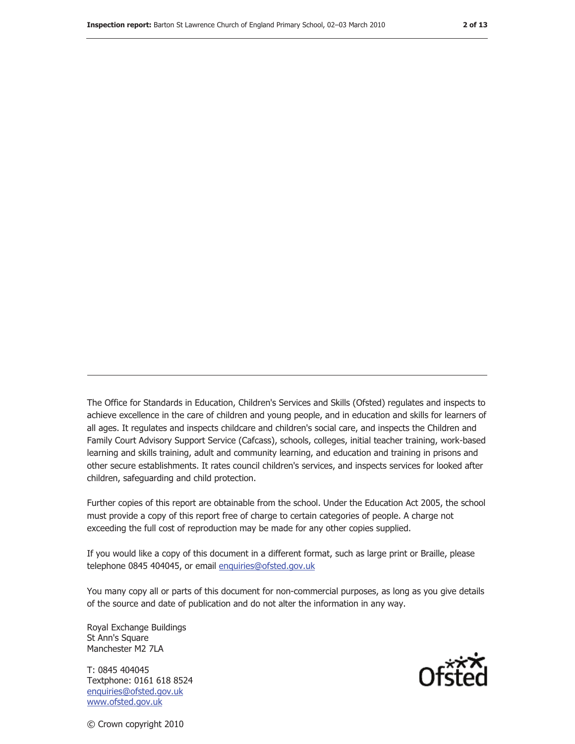The Office for Standards in Education, Children's Services and Skills (Ofsted) regulates and inspects to achieve excellence in the care of children and young people, and in education and skills for learners of all ages. It regulates and inspects childcare and children's social care, and inspects the Children and Family Court Advisory Support Service (Cafcass), schools, colleges, initial teacher training, work-based learning and skills training, adult and community learning, and education and training in prisons and other secure establishments. It rates council children's services, and inspects services for looked after children, safeguarding and child protection.

Further copies of this report are obtainable from the school. Under the Education Act 2005, the school must provide a copy of this report free of charge to certain categories of people. A charge not exceeding the full cost of reproduction may be made for any other copies supplied.

If you would like a copy of this document in a different format, such as large print or Braille, please telephone 0845 404045, or email enquiries@ofsted.gov.uk

You many copy all or parts of this document for non-commercial purposes, as long as you give details of the source and date of publication and do not alter the information in any way.

Royal Exchange Buildings St Ann's Square Manchester M2 7LA

T: 0845 404045 Textphone: 0161 618 8524 enquiries@ofsted.gov.uk www.ofsted.gov.uk



© Crown copyright 2010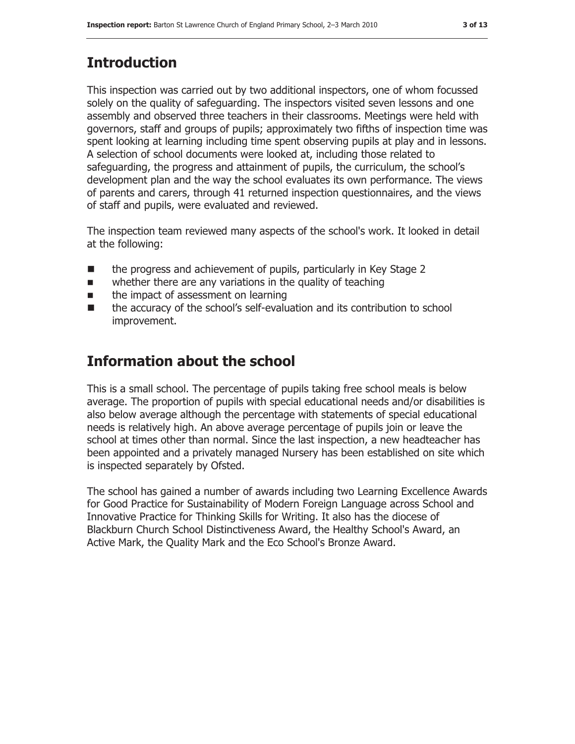# **Introduction**

This inspection was carried out by two additional inspectors, one of whom focussed solely on the quality of safeguarding. The inspectors visited seven lessons and one assembly and observed three teachers in their classrooms. Meetings were held with governors, staff and groups of pupils; approximately two fifths of inspection time was spent looking at learning including time spent observing pupils at play and in lessons. A selection of school documents were looked at, including those related to safeguarding, the progress and attainment of pupils, the curriculum, the school's development plan and the way the school evaluates its own performance. The views of parents and carers, through 41 returned inspection questionnaires, and the views of staff and pupils, were evaluated and reviewed.

The inspection team reviewed many aspects of the school's work. It looked in detail at the following:

- the progress and achievement of pupils, particularly in Key Stage 2
- $\blacksquare$  whether there are any variations in the quality of teaching
- **If the impact of assessment on learning**
- ! the accuracy of the school's self-evaluation and its contribution to school improvement.

# **Information about the school**

This is a small school. The percentage of pupils taking free school meals is below average. The proportion of pupils with special educational needs and/or disabilities is also below average although the percentage with statements of special educational needs is relatively high. An above average percentage of pupils join or leave the school at times other than normal. Since the last inspection, a new headteacher has been appointed and a privately managed Nursery has been established on site which is inspected separately by Ofsted.

The school has gained a number of awards including two Learning Excellence Awards for Good Practice for Sustainability of Modern Foreign Language across School and Innovative Practice for Thinking Skills for Writing. It also has the diocese of Blackburn Church School Distinctiveness Award, the Healthy School's Award, an Active Mark, the Quality Mark and the Eco School's Bronze Award.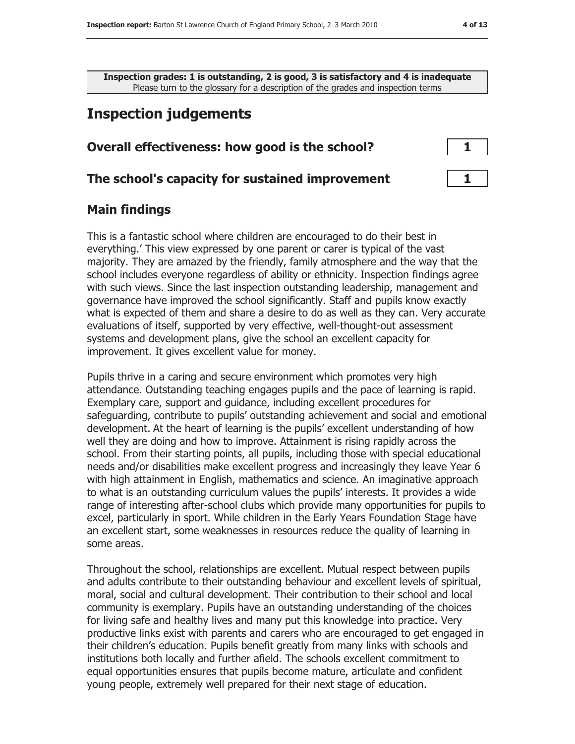**Inspection grades: 1 is outstanding, 2 is good, 3 is satisfactory and 4 is inadequate** Please turn to the glossary for a description of the grades and inspection terms

# **Inspection judgements**

#### **Overall effectiveness: how good is the school?** 1

#### **The school's capacity for sustained improvement 1** 1

#### **Main findings**

This is a fantastic school where children are encouraged to do their best in everything.' This view expressed by one parent or carer is typical of the vast majority. They are amazed by the friendly, family atmosphere and the way that the school includes everyone regardless of ability or ethnicity. Inspection findings agree with such views. Since the last inspection outstanding leadership, management and governance have improved the school significantly. Staff and pupils know exactly what is expected of them and share a desire to do as well as they can. Very accurate evaluations of itself, supported by very effective, well-thought-out assessment systems and development plans, give the school an excellent capacity for improvement. It gives excellent value for money.

Pupils thrive in a caring and secure environment which promotes very high attendance. Outstanding teaching engages pupils and the pace of learning is rapid. Exemplary care, support and guidance, including excellent procedures for safeguarding, contribute to pupils' outstanding achievement and social and emotional development. At the heart of learning is the pupils' excellent understanding of how well they are doing and how to improve. Attainment is rising rapidly across the school. From their starting points, all pupils, including those with special educational needs and/or disabilities make excellent progress and increasingly they leave Year 6 with high attainment in English, mathematics and science. An imaginative approach to what is an outstanding curriculum values the pupils' interests. It provides a wide range of interesting after-school clubs which provide many opportunities for pupils to excel, particularly in sport. While children in the Early Years Foundation Stage have an excellent start, some weaknesses in resources reduce the quality of learning in some areas.

Throughout the school, relationships are excellent. Mutual respect between pupils and adults contribute to their outstanding behaviour and excellent levels of spiritual, moral, social and cultural development. Their contribution to their school and local community is exemplary. Pupils have an outstanding understanding of the choices for living safe and healthy lives and many put this knowledge into practice. Very productive links exist with parents and carers who are encouraged to get engaged in their children's education. Pupils benefit greatly from many links with schools and institutions both locally and further afield. The schools excellent commitment to equal opportunities ensures that pupils become mature, articulate and confident young people, extremely well prepared for their next stage of education.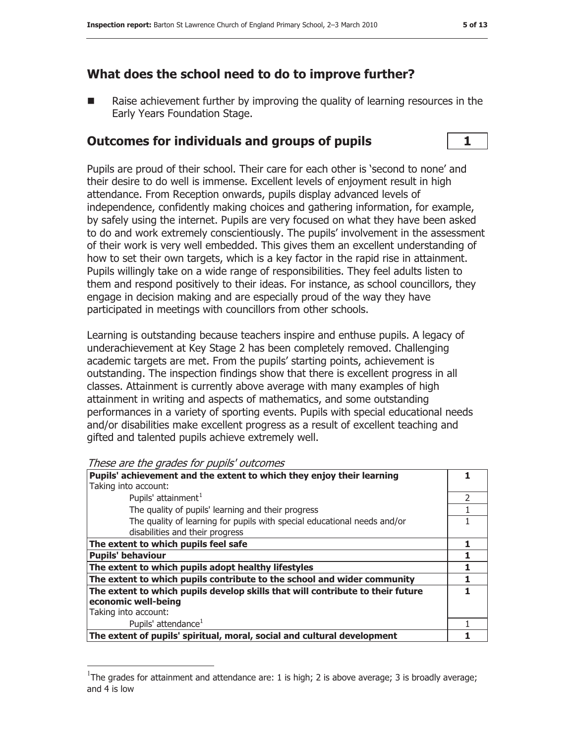# **What does the school need to do to improve further?**

Raise achievement further by improving the quality of learning resources in the Early Years Foundation Stage.

## **Outcomes for individuals and groups of pupils 1**

Pupils are proud of their school. Their care for each other is 'second to none' and their desire to do well is immense. Excellent levels of enjoyment result in high attendance. From Reception onwards, pupils display advanced levels of independence, confidently making choices and gathering information, for example, by safely using the internet. Pupils are very focused on what they have been asked to do and work extremely conscientiously. The pupils' involvement in the assessment of their work is very well embedded. This gives them an excellent understanding of how to set their own targets, which is a key factor in the rapid rise in attainment. Pupils willingly take on a wide range of responsibilities. They feel adults listen to them and respond positively to their ideas. For instance, as school councillors, they engage in decision making and are especially proud of the way they have participated in meetings with councillors from other schools.

Learning is outstanding because teachers inspire and enthuse pupils. A legacy of underachievement at Key Stage 2 has been completely removed. Challenging academic targets are met. From the pupils' starting points, achievement is outstanding. The inspection findings show that there is excellent progress in all classes. Attainment is currently above average with many examples of high attainment in writing and aspects of mathematics, and some outstanding performances in a variety of sporting events. Pupils with special educational needs and/or disabilities make excellent progress as a result of excellent teaching and gifted and talented pupils achieve extremely well.

These are the grades for pupils' outcomes

| Pupils' achievement and the extent to which they enjoy their learning          |  |
|--------------------------------------------------------------------------------|--|
| Taking into account:                                                           |  |
| Pupils' attainment <sup>1</sup>                                                |  |
| The quality of pupils' learning and their progress                             |  |
| The quality of learning for pupils with special educational needs and/or       |  |
| disabilities and their progress                                                |  |
| The extent to which pupils feel safe                                           |  |
| <b>Pupils' behaviour</b>                                                       |  |
| The extent to which pupils adopt healthy lifestyles                            |  |
| The extent to which pupils contribute to the school and wider community        |  |
| The extent to which pupils develop skills that will contribute to their future |  |
| economic well-being                                                            |  |
| Taking into account:                                                           |  |
| Pupils' attendance <sup>1</sup>                                                |  |
| The extent of pupils' spiritual, moral, social and cultural development        |  |

<sup>&</sup>lt;sup>1</sup>The grades for attainment and attendance are: 1 is high; 2 is above average; 3 is broadly average; and 4 is low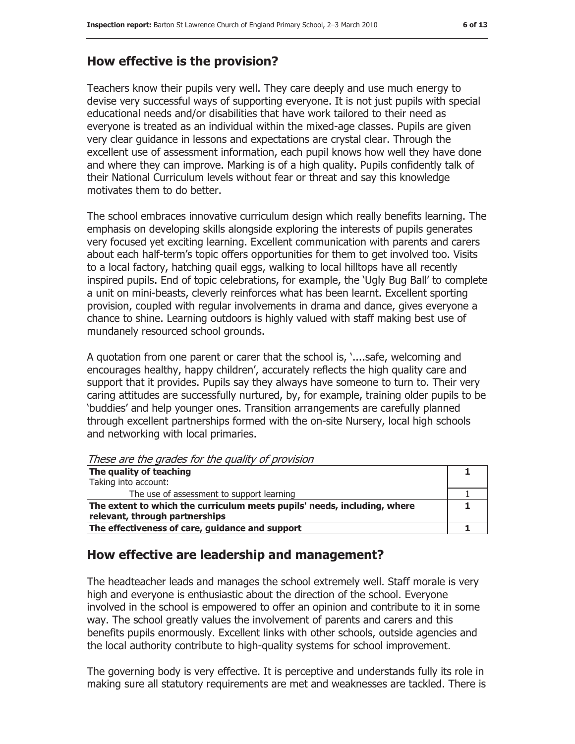# **How effective is the provision?**

Teachers know their pupils very well. They care deeply and use much energy to devise very successful ways of supporting everyone. It is not just pupils with special educational needs and/or disabilities that have work tailored to their need as everyone is treated as an individual within the mixed-age classes. Pupils are given very clear guidance in lessons and expectations are crystal clear. Through the excellent use of assessment information, each pupil knows how well they have done and where they can improve. Marking is of a high quality. Pupils confidently talk of their National Curriculum levels without fear or threat and say this knowledge motivates them to do better.

The school embraces innovative curriculum design which really benefits learning. The emphasis on developing skills alongside exploring the interests of pupils generates very focused yet exciting learning. Excellent communication with parents and carers about each half-term's topic offers opportunities for them to get involved too. Visits to a local factory, hatching quail eggs, walking to local hilltops have all recently inspired pupils. End of topic celebrations, for example, the 'Ugly Bug Ball' to complete a unit on mini-beasts, cleverly reinforces what has been learnt. Excellent sporting provision, coupled with regular involvements in drama and dance, gives everyone a chance to shine. Learning outdoors is highly valued with staff making best use of mundanely resourced school grounds.

A quotation from one parent or carer that the school is, '....safe, welcoming and encourages healthy, happy children', accurately reflects the high quality care and support that it provides. Pupils say they always have someone to turn to. Their very caring attitudes are successfully nurtured, by, for example, training older pupils to be 'buddies' and help younger ones. Transition arrangements are carefully planned through excellent partnerships formed with the on-site Nursery, local high schools and networking with local primaries.

| These are the grades for the quality of provision                        |  |
|--------------------------------------------------------------------------|--|
| The quality of teaching                                                  |  |
| Taking into account:                                                     |  |
| The use of assessment to support learning                                |  |
| The extent to which the curriculum meets pupils' needs, including, where |  |
| relevant, through partnerships                                           |  |
| The effectiveness of care, guidance and support                          |  |

These are the grades for the quality of provision

# **How effective are leadership and management?**

The headteacher leads and manages the school extremely well. Staff morale is very high and everyone is enthusiastic about the direction of the school. Everyone involved in the school is empowered to offer an opinion and contribute to it in some way. The school greatly values the involvement of parents and carers and this benefits pupils enormously. Excellent links with other schools, outside agencies and the local authority contribute to high-quality systems for school improvement.

The governing body is very effective. It is perceptive and understands fully its role in making sure all statutory requirements are met and weaknesses are tackled. There is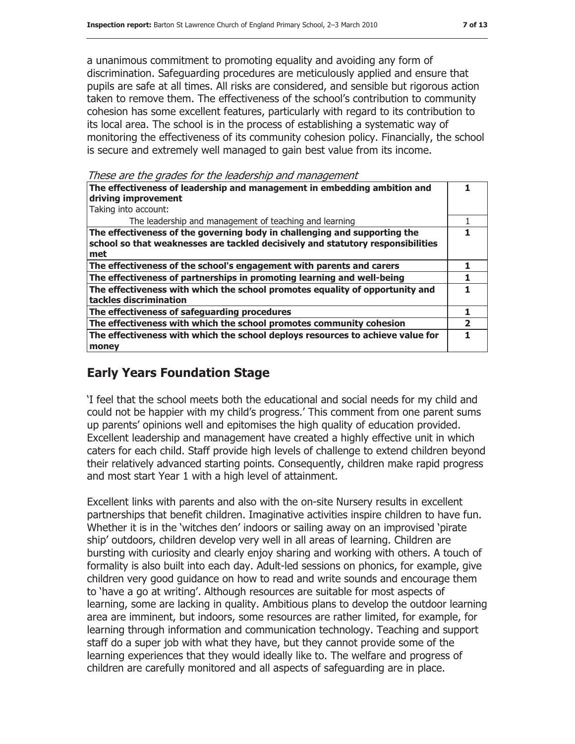a unanimous commitment to promoting equality and avoiding any form of discrimination. Safeguarding procedures are meticulously applied and ensure that pupils are safe at all times. All risks are considered, and sensible but rigorous action taken to remove them. The effectiveness of the school's contribution to community cohesion has some excellent features, particularly with regard to its contribution to its local area. The school is in the process of establishing a systematic way of monitoring the effectiveness of its community cohesion policy. Financially, the school is secure and extremely well managed to gain best value from its income.

These are the grades for the leadership and management

| The effectiveness of leadership and management in embedding ambition and<br>driving improvement<br>Taking into account:                                             |  |
|---------------------------------------------------------------------------------------------------------------------------------------------------------------------|--|
| The leadership and management of teaching and learning                                                                                                              |  |
| The effectiveness of the governing body in challenging and supporting the<br>school so that weaknesses are tackled decisively and statutory responsibilities<br>met |  |
| The effectiveness of the school's engagement with parents and carers                                                                                                |  |
| The effectiveness of partnerships in promoting learning and well-being                                                                                              |  |
| The effectiveness with which the school promotes equality of opportunity and<br>tackles discrimination                                                              |  |
| The effectiveness of safeguarding procedures                                                                                                                        |  |
| The effectiveness with which the school promotes community cohesion                                                                                                 |  |
| The effectiveness with which the school deploys resources to achieve value for<br>money                                                                             |  |

# **Early Years Foundation Stage**

'I feel that the school meets both the educational and social needs for my child and could not be happier with my child's progress.' This comment from one parent sums up parents' opinions well and epitomises the high quality of education provided. Excellent leadership and management have created a highly effective unit in which caters for each child. Staff provide high levels of challenge to extend children beyond their relatively advanced starting points. Consequently, children make rapid progress and most start Year 1 with a high level of attainment.

Excellent links with parents and also with the on-site Nursery results in excellent partnerships that benefit children. Imaginative activities inspire children to have fun. Whether it is in the 'witches den' indoors or sailing away on an improvised 'pirate ship' outdoors, children develop very well in all areas of learning. Children are bursting with curiosity and clearly enjoy sharing and working with others. A touch of formality is also built into each day. Adult-led sessions on phonics, for example, give children very good guidance on how to read and write sounds and encourage them to 'have a go at writing'. Although resources are suitable for most aspects of learning, some are lacking in quality. Ambitious plans to develop the outdoor learning area are imminent, but indoors, some resources are rather limited, for example, for learning through information and communication technology. Teaching and support staff do a super job with what they have, but they cannot provide some of the learning experiences that they would ideally like to. The welfare and progress of children are carefully monitored and all aspects of safeguarding are in place.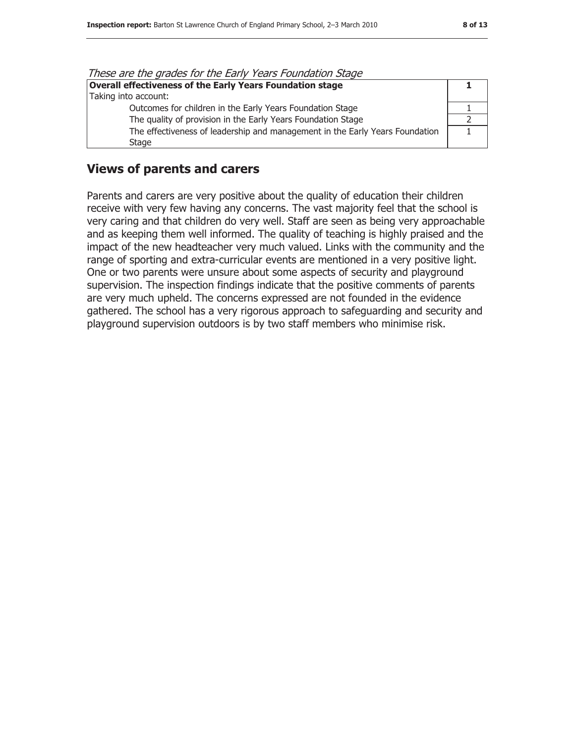| These are the grades for the Early Years Foundation Stage                    |  |
|------------------------------------------------------------------------------|--|
| <b>Overall effectiveness of the Early Years Foundation stage</b>             |  |
| Taking into account:                                                         |  |
| Outcomes for children in the Early Years Foundation Stage                    |  |
| The quality of provision in the Early Years Foundation Stage                 |  |
| The effectiveness of leadership and management in the Early Years Foundation |  |
| <b>Stage</b>                                                                 |  |

These are the grades for the Early Years Foundation Stage

#### **Views of parents and carers**

Parents and carers are very positive about the quality of education their children receive with very few having any concerns. The vast majority feel that the school is very caring and that children do very well. Staff are seen as being very approachable and as keeping them well informed. The quality of teaching is highly praised and the impact of the new headteacher very much valued. Links with the community and the range of sporting and extra-curricular events are mentioned in a very positive light. One or two parents were unsure about some aspects of security and playground supervision. The inspection findings indicate that the positive comments of parents are very much upheld. The concerns expressed are not founded in the evidence gathered. The school has a very rigorous approach to safeguarding and security and playground supervision outdoors is by two staff members who minimise risk.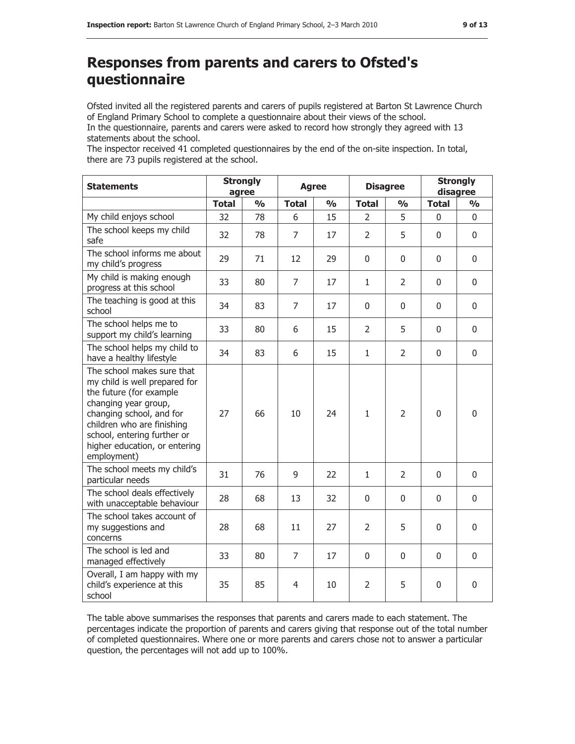# **Responses from parents and carers to Ofsted's questionnaire**

Ofsted invited all the registered parents and carers of pupils registered at Barton St Lawrence Church of England Primary School to complete a questionnaire about their views of the school. In the questionnaire, parents and carers were asked to record how strongly they agreed with 13 statements about the school.

The inspector received 41 completed questionnaires by the end of the on-site inspection. In total, there are 73 pupils registered at the school.

| <b>Statements</b>                                                                                                                                                                                                                                       | <b>Strongly</b><br>agree |               | <b>Agree</b>   |               | <b>Disagree</b> |                | <b>Strongly</b><br>disagree |                         |
|---------------------------------------------------------------------------------------------------------------------------------------------------------------------------------------------------------------------------------------------------------|--------------------------|---------------|----------------|---------------|-----------------|----------------|-----------------------------|-------------------------|
|                                                                                                                                                                                                                                                         | <b>Total</b>             | $\frac{0}{0}$ | <b>Total</b>   | $\frac{0}{0}$ | <b>Total</b>    | $\frac{0}{0}$  | <b>Total</b>                | $\mathbf{O}/\mathbf{O}$ |
| My child enjoys school                                                                                                                                                                                                                                  | 32                       | 78            | 6              | 15            | $\mathcal{L}$   | 5              | $\mathbf{0}$                | $\mathbf{0}$            |
| The school keeps my child<br>safe                                                                                                                                                                                                                       | 32                       | 78            | $\overline{7}$ | 17            | $\overline{2}$  | 5              | $\Omega$                    | $\mathbf{0}$            |
| The school informs me about<br>my child's progress                                                                                                                                                                                                      | 29                       | 71            | 12             | 29            | $\Omega$        | $\mathbf{0}$   | $\mathbf{0}$                | $\mathbf{0}$            |
| My child is making enough<br>progress at this school                                                                                                                                                                                                    | 33                       | 80            | $\overline{7}$ | 17            | $\mathbf{1}$    | 2              | $\mathbf{0}$                | $\mathbf{0}$            |
| The teaching is good at this<br>school                                                                                                                                                                                                                  | 34                       | 83            | $\overline{7}$ | 17            | $\mathbf{0}$    | $\mathbf{0}$   | $\mathbf{0}$                | $\mathbf{0}$            |
| The school helps me to<br>support my child's learning                                                                                                                                                                                                   | 33                       | 80            | 6              | 15            | $\overline{2}$  | 5              | $\Omega$                    | $\mathbf{0}$            |
| The school helps my child to<br>have a healthy lifestyle                                                                                                                                                                                                | 34                       | 83            | 6              | 15            | $\mathbf{1}$    | $\overline{2}$ | $\mathbf 0$                 | 0                       |
| The school makes sure that<br>my child is well prepared for<br>the future (for example<br>changing year group,<br>changing school, and for<br>children who are finishing<br>school, entering further or<br>higher education, or entering<br>employment) | 27                       | 66            | 10             | 24            | $\mathbf{1}$    | $\overline{2}$ | 0                           | 0                       |
| The school meets my child's<br>particular needs                                                                                                                                                                                                         | 31                       | 76            | 9              | 22            | $\mathbf{1}$    | 2              | 0                           | 0                       |
| The school deals effectively<br>with unacceptable behaviour                                                                                                                                                                                             | 28                       | 68            | 13             | 32            | $\Omega$        | $\mathbf{0}$   | $\Omega$                    | $\Omega$                |
| The school takes account of<br>my suggestions and<br>concerns                                                                                                                                                                                           | 28                       | 68            | 11             | 27            | $\overline{2}$  | 5              | 0                           | 0                       |
| The school is led and<br>managed effectively                                                                                                                                                                                                            | 33                       | 80            | $\overline{7}$ | 17            | 0               | 0              | $\mathbf 0$                 | 0                       |
| Overall, I am happy with my<br>child's experience at this<br>school                                                                                                                                                                                     | 35                       | 85            | 4              | 10            | 2               | 5              | $\mathbf{0}$                | 0                       |

The table above summarises the responses that parents and carers made to each statement. The percentages indicate the proportion of parents and carers giving that response out of the total number of completed questionnaires. Where one or more parents and carers chose not to answer a particular question, the percentages will not add up to 100%.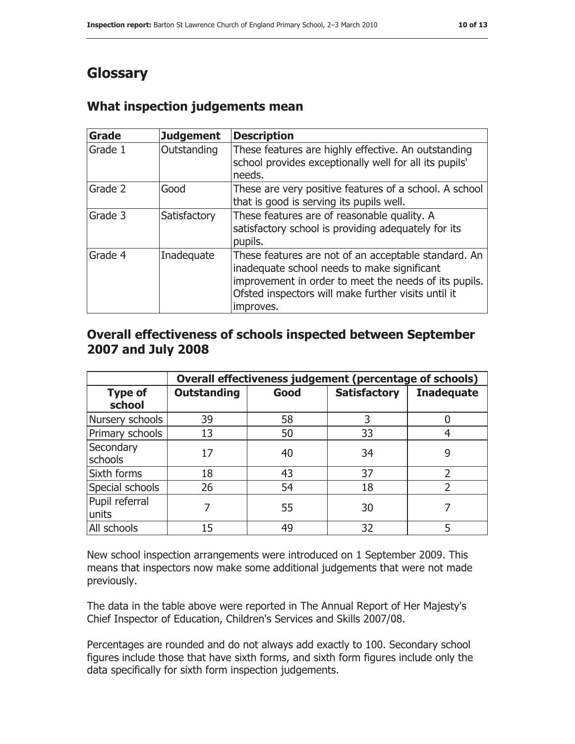# **Glossary**

# **What inspection judgements mean**

| <b>Grade</b> | <b>Judgement</b> | <b>Description</b>                                                                                                                                                                                                               |
|--------------|------------------|----------------------------------------------------------------------------------------------------------------------------------------------------------------------------------------------------------------------------------|
| Grade 1      | Outstanding      | These features are highly effective. An outstanding<br>school provides exceptionally well for all its pupils'<br>needs.                                                                                                          |
| Grade 2      | Good             | These are very positive features of a school. A school<br>that is good is serving its pupils well.                                                                                                                               |
| Grade 3      | Satisfactory     | These features are of reasonable quality. A<br>satisfactory school is providing adequately for its<br>pupils.                                                                                                                    |
| Grade 4      | Inadequate       | These features are not of an acceptable standard. An<br>inadequate school needs to make significant<br>improvement in order to meet the needs of its pupils.<br>Ofsted inspectors will make further visits until it<br>improves. |

### **Overall effectiveness of schools inspected between September 2007 and July 2008**

|                          | Overall effectiveness judgement (percentage of schools) |      |                     |                   |
|--------------------------|---------------------------------------------------------|------|---------------------|-------------------|
| <b>Type of</b><br>school | <b>Outstanding</b>                                      | Good | <b>Satisfactory</b> | <b>Inadequate</b> |
| Nursery schools          | 39                                                      | 58   | 3                   |                   |
| Primary schools          | 13                                                      | 50   | 33                  |                   |
| Secondary<br>schools     | 17                                                      | 40   | 34                  | 9                 |
| Sixth forms              | 18                                                      | 43   | 37                  | າ                 |
| Special schools          | 26                                                      | 54   | 18                  |                   |
| Pupil referral<br>units  |                                                         | 55   | 30                  |                   |
| All schools              | 15                                                      | 49   | 32                  |                   |

New school inspection arrangements were introduced on 1 September 2009. This means that inspectors now make some additional judgements that were not made previously.

The data in the table above were reported in The Annual Report of Her Majesty's Chief Inspector of Education, Children's Services and Skills 2007/08.

Percentages are rounded and do not always add exactly to 100. Secondary school figures include those that have sixth forms, and sixth form figures include only the data specifically for sixth form inspection judgements.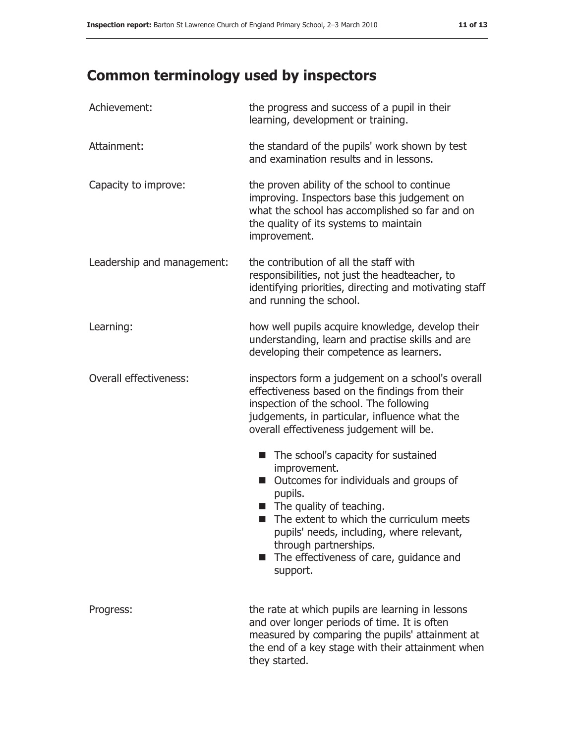# **Common terminology used by inspectors**

| Achievement:               | the progress and success of a pupil in their<br>learning, development or training.                                                                                                                                                                                                                                                          |  |  |
|----------------------------|---------------------------------------------------------------------------------------------------------------------------------------------------------------------------------------------------------------------------------------------------------------------------------------------------------------------------------------------|--|--|
| Attainment:                | the standard of the pupils' work shown by test<br>and examination results and in lessons.                                                                                                                                                                                                                                                   |  |  |
| Capacity to improve:       | the proven ability of the school to continue<br>improving. Inspectors base this judgement on<br>what the school has accomplished so far and on<br>the quality of its systems to maintain<br>improvement.                                                                                                                                    |  |  |
| Leadership and management: | the contribution of all the staff with<br>responsibilities, not just the headteacher, to<br>identifying priorities, directing and motivating staff<br>and running the school.                                                                                                                                                               |  |  |
| Learning:                  | how well pupils acquire knowledge, develop their<br>understanding, learn and practise skills and are<br>developing their competence as learners.                                                                                                                                                                                            |  |  |
| Overall effectiveness:     | inspectors form a judgement on a school's overall<br>effectiveness based on the findings from their<br>inspection of the school. The following<br>judgements, in particular, influence what the<br>overall effectiveness judgement will be.                                                                                                 |  |  |
|                            | The school's capacity for sustained<br>ш<br>improvement.<br>Outcomes for individuals and groups of<br>ш<br>pupils.<br>$\blacksquare$ The quality of teaching.<br>The extent to which the curriculum meets<br>ш<br>pupils' needs, including, where relevant,<br>through partnerships.<br>The effectiveness of care, guidance and<br>support. |  |  |
| Progress:                  | the rate at which pupils are learning in lessons<br>and over longer periods of time. It is often<br>measured by comparing the pupils' attainment at<br>the end of a key stage with their attainment when<br>they started.                                                                                                                   |  |  |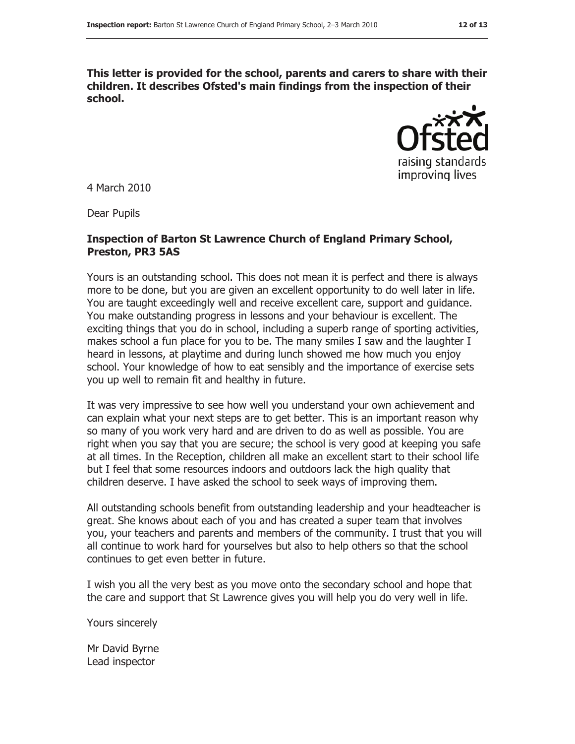**This letter is provided for the school, parents and carers to share with their children. It describes Ofsted's main findings from the inspection of their school.**



4 March 2010

Dear Pupils

#### **Inspection of Barton St Lawrence Church of England Primary School, Preston, PR3 5AS**

Yours is an outstanding school. This does not mean it is perfect and there is always more to be done, but you are given an excellent opportunity to do well later in life. You are taught exceedingly well and receive excellent care, support and guidance. You make outstanding progress in lessons and your behaviour is excellent. The exciting things that you do in school, including a superb range of sporting activities, makes school a fun place for you to be. The many smiles I saw and the laughter I heard in lessons, at playtime and during lunch showed me how much you enjoy school. Your knowledge of how to eat sensibly and the importance of exercise sets you up well to remain fit and healthy in future.

It was very impressive to see how well you understand your own achievement and can explain what your next steps are to get better. This is an important reason why so many of you work very hard and are driven to do as well as possible. You are right when you say that you are secure; the school is very good at keeping you safe at all times. In the Reception, children all make an excellent start to their school life but I feel that some resources indoors and outdoors lack the high quality that children deserve. I have asked the school to seek ways of improving them.

All outstanding schools benefit from outstanding leadership and your headteacher is great. She knows about each of you and has created a super team that involves you, your teachers and parents and members of the community. I trust that you will all continue to work hard for yourselves but also to help others so that the school continues to get even better in future.

I wish you all the very best as you move onto the secondary school and hope that the care and support that St Lawrence gives you will help you do very well in life.

Yours sincerely

Mr David Byrne Lead inspector